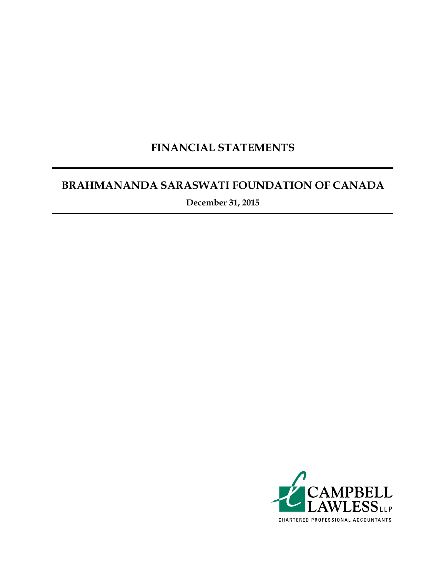## **FINANCIAL STATEMENTS**

## **BRAHMANANDA SARASWATI FOUNDATION OF CANADA**

**December 31, 2015**

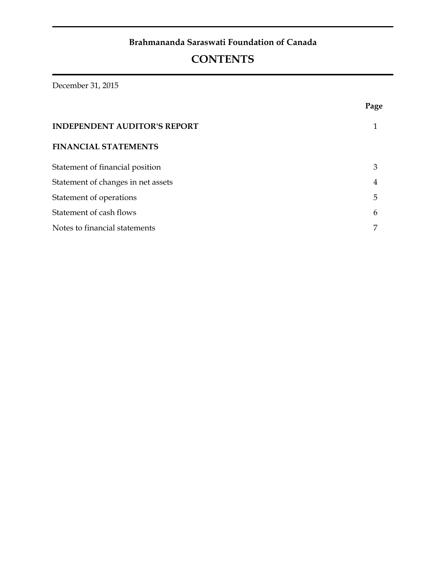### **Brahmananda Saraswati Foundation of Canada**

# **CONTENTS**

December 31, 2015

|                                     | Page |
|-------------------------------------|------|
| <b>INDEPENDENT AUDITOR'S REPORT</b> |      |
| <b>FINANCIAL STATEMENTS</b>         |      |
| Statement of financial position     | 3    |
| Statement of changes in net assets  | 4    |
| Statement of operations             | 5    |
| Statement of cash flows             | 6    |
| Notes to financial statements       |      |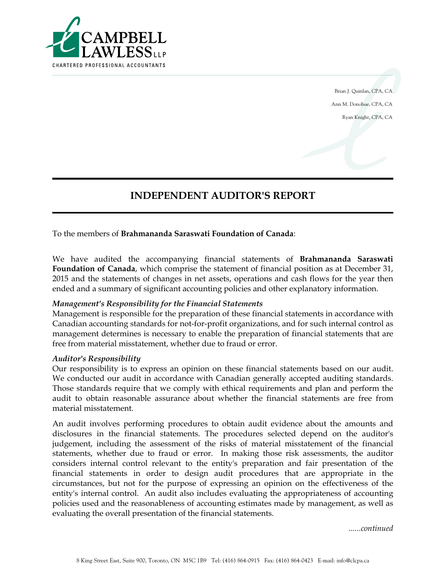

Brian J. Quinlan, CPA, CA Ann M. Donohue, CPA, CA Ryan Knight, CPA, CA

## **INDEPENDENT AUDITOR'S REPORT**

To the members of **Brahmananda Saraswati Foundation of Canada**:

We have audited the accompanying financial statements of **Brahmananda Saraswati Foundation of Canada**, which comprise the statement of financial position as at December 31, 2015 and the statements of changes in net assets, operations and cash flows for the year then ended and a summary of significant accounting policies and other explanatory information.

#### *Management's Responsibility for the Financial Statements*

Management is responsible for the preparation of these financial statements in accordance with Canadian accounting standards for not-for-profit organizations, and for such internal control as management determines is necessary to enable the preparation of financial statements that are free from material misstatement, whether due to fraud or error.

#### *Auditor's Responsibility*

Our responsibility is to express an opinion on these financial statements based on our audit. We conducted our audit in accordance with Canadian generally accepted auditing standards. Those standards require that we comply with ethical requirements and plan and perform the audit to obtain reasonable assurance about whether the financial statements are free from material misstatement.

An audit involves performing procedures to obtain audit evidence about the amounts and disclosures in the financial statements. The procedures selected depend on the auditor's judgement, including the assessment of the risks of material misstatement of the financial statements, whether due to fraud or error. In making those risk assessments, the auditor considers internal control relevant to the entity's preparation and fair presentation of the financial statements in order to design audit procedures that are appropriate in the circumstances, but not for the purpose of expressing an opinion on the effectiveness of the entity's internal control. An audit also includes evaluating the appropriateness of accounting policies used and the reasonableness of accounting estimates made by management, as well as evaluating the overall presentation of the financial statements.

*......continued*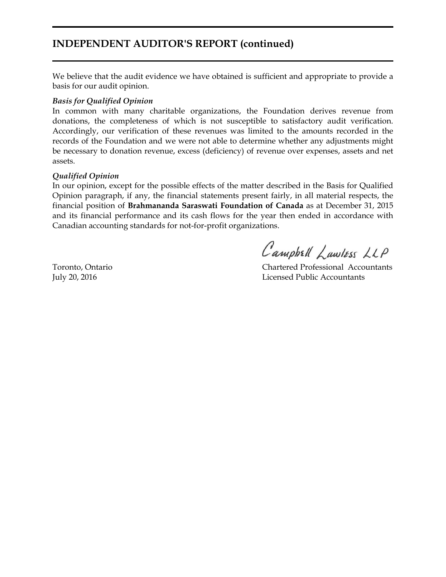### **INDEPENDENT AUDITOR'S REPORT (continued)**

We believe that the audit evidence we have obtained is sufficient and appropriate to provide a basis for our audit opinion.

#### *Basis for Qualified Opinion*

In common with many charitable organizations, the Foundation derives revenue from donations, the completeness of which is not susceptible to satisfactory audit verification. Accordingly, our verification of these revenues was limited to the amounts recorded in the records of the Foundation and we were not able to determine whether any adjustments might be necessary to donation revenue, excess (deficiency) of revenue over expenses, assets and net assets.

#### *Qualified Opinion*

In our opinion, except for the possible effects of the matter described in the Basis for Qualified Opinion paragraph, if any, the financial statements present fairly, in all material respects, the financial position of **Brahmananda Saraswati Foundation of Canada** as at December 31, 2015 and its financial performance and its cash flows for the year then ended in accordance with Canadian accounting standards for not-for-profit organizations.

Campbell Lawless LLP

Toronto, Ontario Chartered Professional Accountants July 20, 2016 Licensed Public Accountants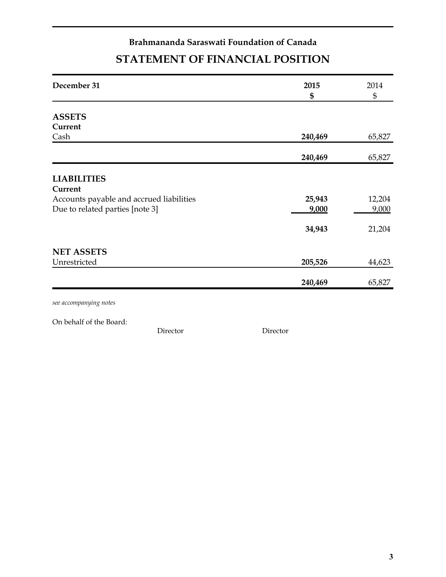# **Brahmananda Saraswati Foundation of Canada STATEMENT OF FINANCIAL POSITION**

| December 31                                                                                                  | 2015<br>\$                | 2014<br>\$                |
|--------------------------------------------------------------------------------------------------------------|---------------------------|---------------------------|
|                                                                                                              |                           |                           |
| <b>ASSETS</b>                                                                                                |                           |                           |
| Current                                                                                                      |                           |                           |
| Cash                                                                                                         | 240,469                   | 65,827                    |
|                                                                                                              | 240,469                   | 65,827                    |
| <b>LIABILITIES</b><br>Current<br>Accounts payable and accrued liabilities<br>Due to related parties [note 3] | 25,943<br>9,000<br>34,943 | 12,204<br>9,000<br>21,204 |
| <b>NET ASSETS</b><br>Unrestricted                                                                            | 205,526                   | 44,623                    |
|                                                                                                              | 240,469                   | 65,827                    |

*see accompanying notes*

On behalf of the Board:

Director Director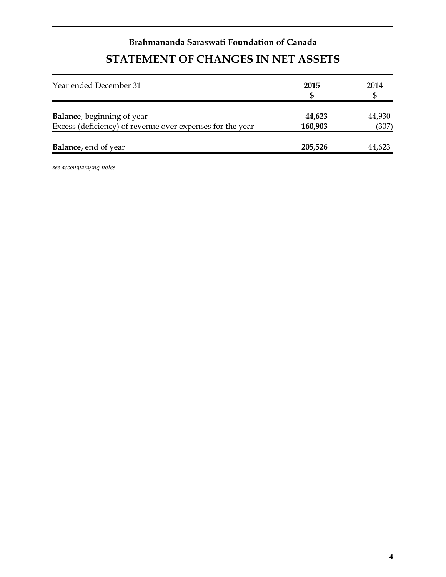# **Brahmananda Saraswati Foundation of Canada STATEMENT OF CHANGES IN NET ASSETS**

| Year ended December 31                                                                          | 2015              | 2014<br>\$      |
|-------------------------------------------------------------------------------------------------|-------------------|-----------------|
| <b>Balance</b> , beginning of year<br>Excess (deficiency) of revenue over expenses for the year | 44,623<br>160,903 | 44,930<br>(307) |
| <b>Balance</b> , end of year                                                                    | 205,526           | 44,623          |

*see accompanying notes*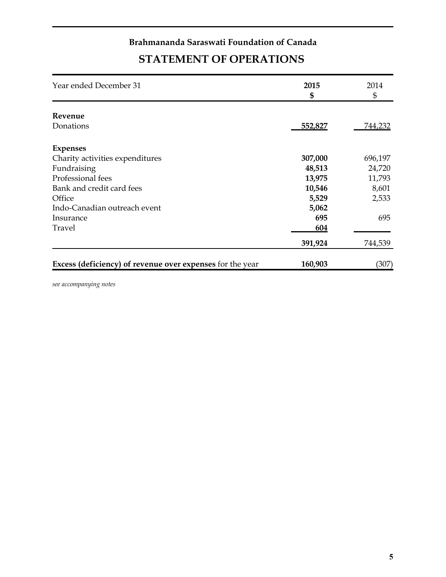# **Brahmananda Saraswati Foundation of Canada STATEMENT OF OPERATIONS**

| Year ended December 31                                    | 2015<br>\$ | 2014<br>\$     |
|-----------------------------------------------------------|------------|----------------|
|                                                           |            |                |
| Revenue                                                   |            |                |
| Donations                                                 | 552,827    | <u>744,232</u> |
| <b>Expenses</b>                                           |            |                |
| Charity activities expenditures                           | 307,000    | 696,197        |
| Fundraising                                               | 48,513     | 24,720         |
| Professional fees                                         | 13,975     | 11,793         |
| Bank and credit card fees                                 | 10,546     | 8,601          |
| Office                                                    | 5,529      | 2,533          |
| Indo-Canadian outreach event                              | 5,062      |                |
| Insurance                                                 | 695        | 695            |
| Travel                                                    | 604        |                |
|                                                           | 391,924    | 744,539        |
| Excess (deficiency) of revenue over expenses for the year | 160,903    | (307)          |

*see accompanying notes*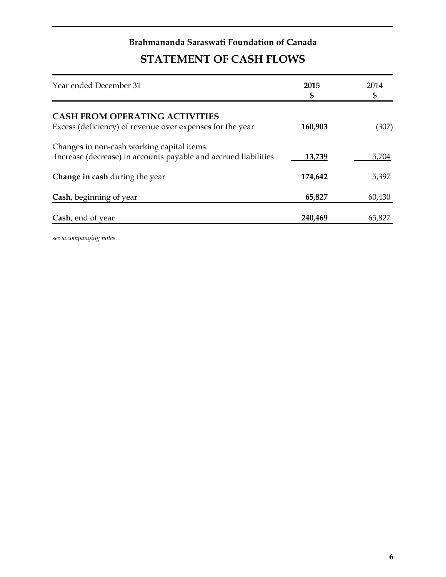## **Brahmananda Saraswati Foundation of Canada**

# **STATEMENT OF CASH FLOWS**

| Year ended December 31                                          | 2015<br>\$ | 2014<br>\$ |
|-----------------------------------------------------------------|------------|------------|
| <b>CASH FROM OPERATING ACTIVITIES</b>                           |            |            |
| Excess (deficiency) of revenue over expenses for the year       | 160,903    | (307)      |
| Changes in non-cash working capital items:                      |            |            |
| Increase (decrease) in accounts payable and accrued liabilities | 13,739     | 5,704      |
| Change in cash during the year                                  | 174,642    | 5,397      |
| Cash, beginning of year                                         | 65,827     | 60,430     |
| Cash, end of year                                               | 240,469    | 65,827     |

*see accompanying notes*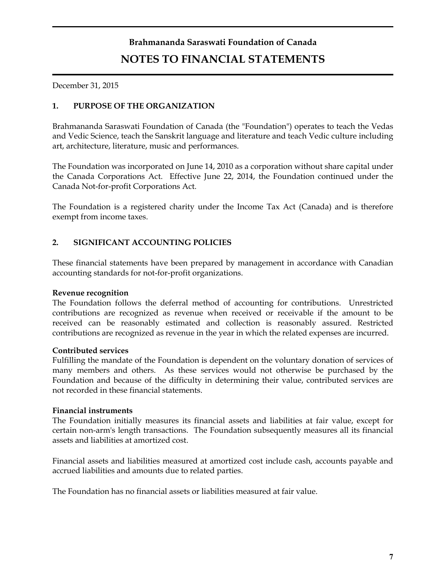# **Brahmananda Saraswati Foundation of Canada NOTES TO FINANCIAL STATEMENTS**

December 31, 2015

### **1. PURPOSE OF THE ORGANIZATION**

Brahmananda Saraswati Foundation of Canada (the "Foundation") operates to teach the Vedas and Vedic Science, teach the Sanskrit language and literature and teach Vedic culture including art, architecture, literature, music and performances.

The Foundation was incorporated on June 14, 2010 as a corporation without share capital under the Canada Corporations Act. Effective June 22, 2014, the Foundation continued under the Canada Not-for-profit Corporations Act.

The Foundation is a registered charity under the Income Tax Act (Canada) and is therefore exempt from income taxes.

### **2. SIGNIFICANT ACCOUNTING POLICIES**

These financial statements have been prepared by management in accordance with Canadian accounting standards for not-for-profit organizations.

#### **Revenue recognition**

The Foundation follows the deferral method of accounting for contributions. Unrestricted contributions are recognized as revenue when received or receivable if the amount to be received can be reasonably estimated and collection is reasonably assured. Restricted contributions are recognized as revenue in the year in which the related expenses are incurred.

#### **Contributed services**

Fulfilling the mandate of the Foundation is dependent on the voluntary donation of services of many members and others. As these services would not otherwise be purchased by the Foundation and because of the difficulty in determining their value, contributed services are not recorded in these financial statements.

#### **Financial instruments**

The Foundation initially measures its financial assets and liabilities at fair value, except for certain non-arm's length transactions. The Foundation subsequently measures all its financial assets and liabilities at amortized cost.

Financial assets and liabilities measured at amortized cost include cash, accounts payable and accrued liabilities and amounts due to related parties.

The Foundation has no financial assets or liabilities measured at fair value.